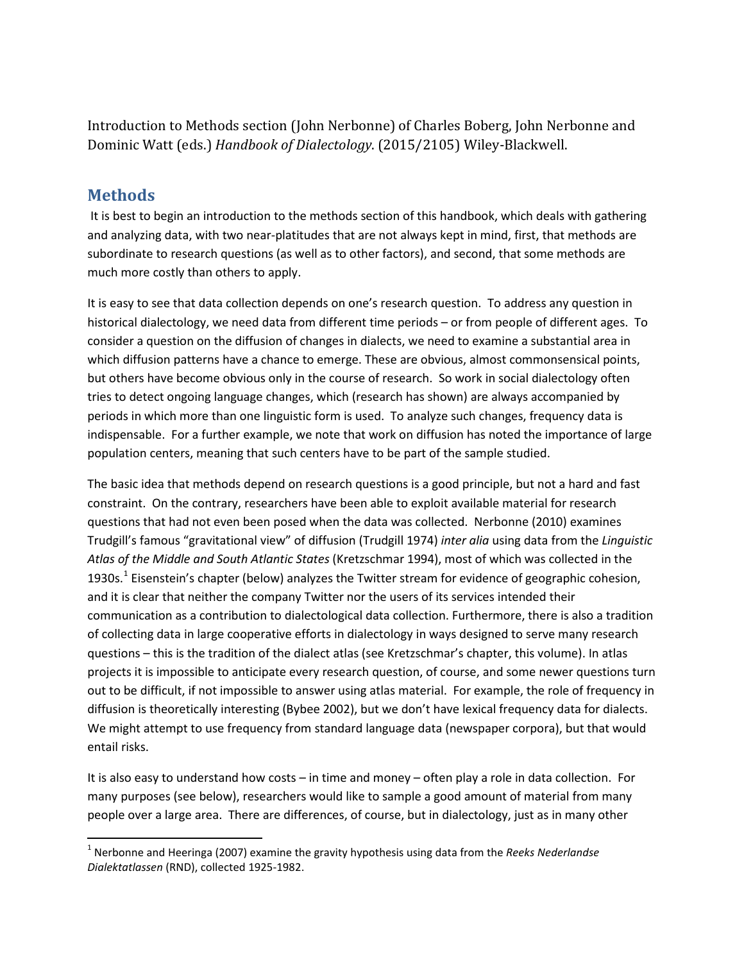Introduction to Methods section (John Nerbonne) of Charles Boberg, John Nerbonne and Dominic Watt (eds.) *Handbook of Dialectology*. (2015/2105) Wiley-Blackwell.

# **Methods**

It is best to begin an introduction to the methods section of this handbook, which deals with gathering and analyzing data, with two near-platitudes that are not always kept in mind, first, that methods are subordinate to research questions (as well as to other factors), and second, that some methods are much more costly than others to apply.

It is easy to see that data collection depends on one's research question. To address any question in historical dialectology, we need data from different time periods – or from people of different ages. To consider a question on the diffusion of changes in dialects, we need to examine a substantial area in which diffusion patterns have a chance to emerge. These are obvious, almost commonsensical points, but others have become obvious only in the course of research. So work in social dialectology often tries to detect ongoing language changes, which (research has shown) are always accompanied by periods in which more than one linguistic form is used. To analyze such changes, frequency data is indispensable. For a further example, we note that work on diffusion has noted the importance of large population centers, meaning that such centers have to be part of the sample studied.

The basic idea that methods depend on research questions is a good principle, but not a hard and fast constraint. On the contrary, researchers have been able to exploit available material for research questions that had not even been posed when the data was collected. Nerbonne (2010) examines Trudgill's famous "gravitational view" of diffusion (Trudgill 1974) *inter alia* using data from the *Linguistic Atlas of the Middle and South Atlantic States* (Kretzschmar 1994), most of which was collected in the [1](#page-0-0)930s.<sup>1</sup> Eisenstein's chapter (below) analyzes the Twitter stream for evidence of geographic cohesion, and it is clear that neither the company Twitter nor the users of its services intended their communication as a contribution to dialectological data collection. Furthermore, there is also a tradition of collecting data in large cooperative efforts in dialectology in ways designed to serve many research questions – this is the tradition of the dialect atlas (see Kretzschmar's chapter, this volume). In atlas projects it is impossible to anticipate every research question, of course, and some newer questions turn out to be difficult, if not impossible to answer using atlas material. For example, the role of frequency in diffusion is theoretically interesting (Bybee 2002), but we don't have lexical frequency data for dialects. We might attempt to use frequency from standard language data (newspaper corpora), but that would entail risks.

It is also easy to understand how costs – in time and money – often play a role in data collection. For many purposes (see below), researchers would like to sample a good amount of material from many people over a large area. There are differences, of course, but in dialectology, just as in many other

<span id="page-0-0"></span> <sup>1</sup> Nerbonne and Heeringa (2007) examine the gravity hypothesis using data from the *Reeks Nederlandse Dialektatlassen* (RND), collected 1925-1982.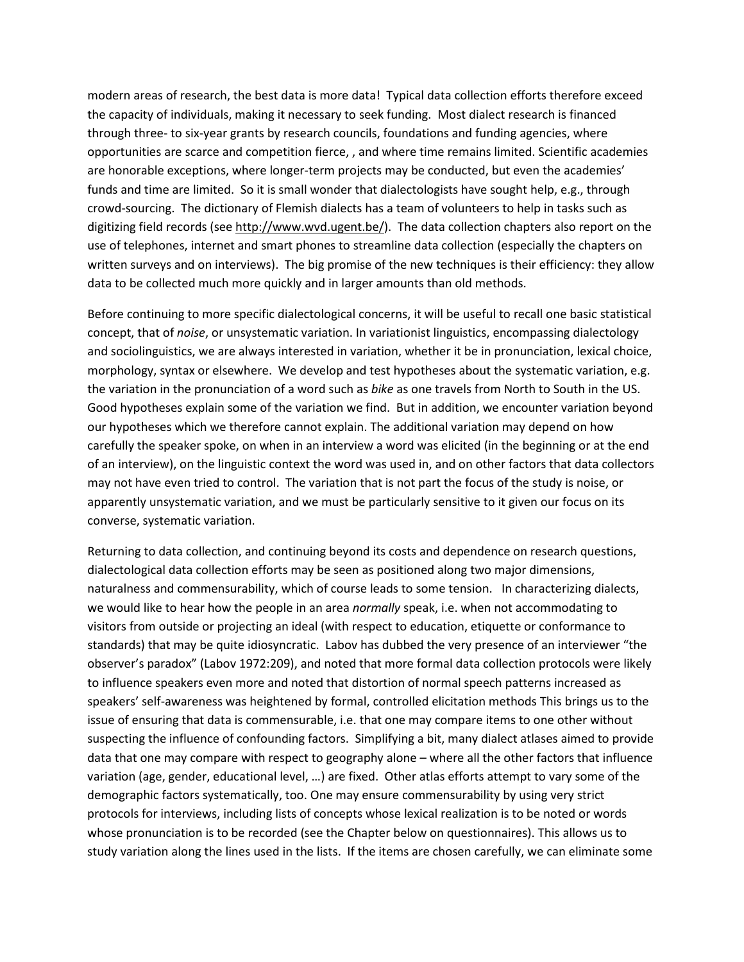modern areas of research, the best data is more data! Typical data collection efforts therefore exceed the capacity of individuals, making it necessary to seek funding. Most dialect research is financed through three- to six-year grants by research councils, foundations and funding agencies, where opportunities are scarce and competition fierce, , and where time remains limited. Scientific academies are honorable exceptions, where longer-term projects may be conducted, but even the academies' funds and time are limited. So it is small wonder that dialectologists have sought help, e.g., through crowd-sourcing. The dictionary of Flemish dialects has a team of volunteers to help in tasks such as digitizing field records (see [http://www.wvd.ugent.be/\)](http://www.wvd.ugent.be/). The data collection chapters also report on the use of telephones, internet and smart phones to streamline data collection (especially the chapters on written surveys and on interviews). The big promise of the new techniques is their efficiency: they allow data to be collected much more quickly and in larger amounts than old methods.

Before continuing to more specific dialectological concerns, it will be useful to recall one basic statistical concept, that of *noise*, or unsystematic variation. In variationist linguistics, encompassing dialectology and sociolinguistics, we are always interested in variation, whether it be in pronunciation, lexical choice, morphology, syntax or elsewhere. We develop and test hypotheses about the systematic variation, e.g. the variation in the pronunciation of a word such as *bike* as one travels from North to South in the US. Good hypotheses explain some of the variation we find. But in addition, we encounter variation beyond our hypotheses which we therefore cannot explain. The additional variation may depend on how carefully the speaker spoke, on when in an interview a word was elicited (in the beginning or at the end of an interview), on the linguistic context the word was used in, and on other factors that data collectors may not have even tried to control. The variation that is not part the focus of the study is noise, or apparently unsystematic variation, and we must be particularly sensitive to it given our focus on its converse, systematic variation.

Returning to data collection, and continuing beyond its costs and dependence on research questions, dialectological data collection efforts may be seen as positioned along two major dimensions, naturalness and commensurability, which of course leads to some tension. In characterizing dialects, we would like to hear how the people in an area *normally* speak, i.e. when not accommodating to visitors from outside or projecting an ideal (with respect to education, etiquette or conformance to standards) that may be quite idiosyncratic. Labov has dubbed the very presence of an interviewer "the observer's paradox" (Labov 1972:209), and noted that more formal data collection protocols were likely to influence speakers even more and noted that distortion of normal speech patterns increased as speakers' self-awareness was heightened by formal, controlled elicitation methods This brings us to the issue of ensuring that data is commensurable, i.e. that one may compare items to one other without suspecting the influence of confounding factors. Simplifying a bit, many dialect atlases aimed to provide data that one may compare with respect to geography alone – where all the other factors that influence variation (age, gender, educational level, …) are fixed. Other atlas efforts attempt to vary some of the demographic factors systematically, too. One may ensure commensurability by using very strict protocols for interviews, including lists of concepts whose lexical realization is to be noted or words whose pronunciation is to be recorded (see the Chapter below on questionnaires). This allows us to study variation along the lines used in the lists. If the items are chosen carefully, we can eliminate some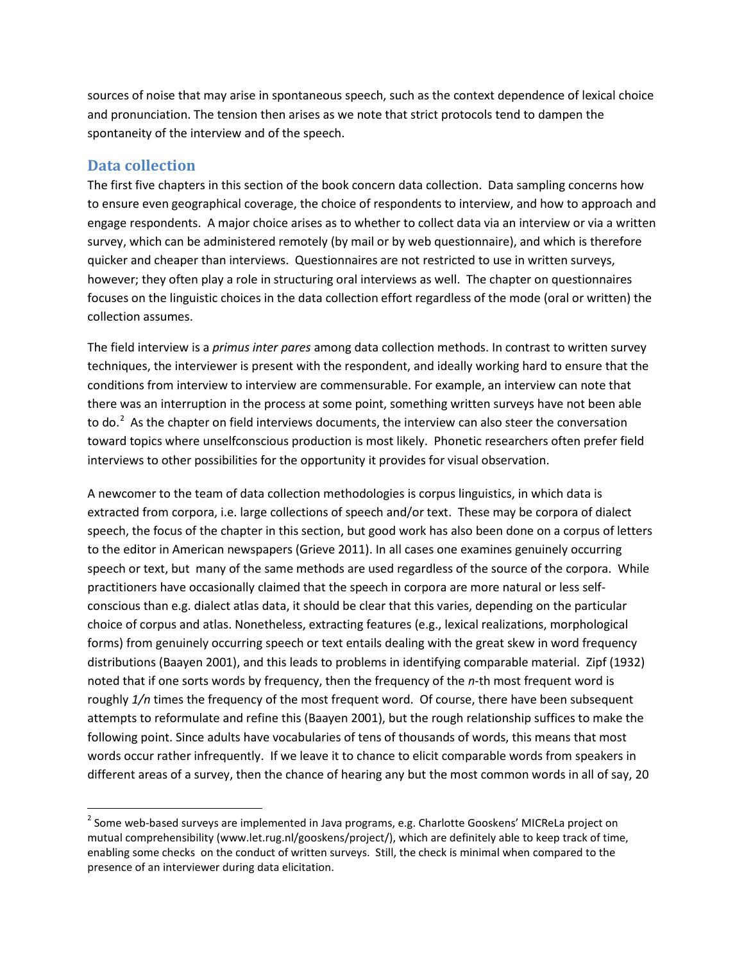sources of noise that may arise in spontaneous speech, such as the context dependence of lexical choice and pronunciation. The tension then arises as we note that strict protocols tend to dampen the spontaneity of the interview and of the speech.

## **Data collection**

The first five chapters in this section of the book concern data collection. Data sampling concerns how to ensure even geographical coverage, the choice of respondents to interview, and how to approach and engage respondents. A major choice arises as to whether to collect data via an interview or via a written survey, which can be administered remotely (by mail or by web questionnaire), and which is therefore quicker and cheaper than interviews. Questionnaires are not restricted to use in written surveys, however; they often play a role in structuring oral interviews as well. The chapter on questionnaires focuses on the linguistic choices in the data collection effort regardless of the mode (oral or written) the collection assumes.

The field interview is a *primus inter pares* among data collection methods. In contrast to written survey techniques, the interviewer is present with the respondent, and ideally working hard to ensure that the conditions from interview to interview are commensurable. For example, an interview can note that there was an interruption in the process at some point, something written surveys have not been able to do.<sup>[2](#page-2-0)</sup> As the chapter on field interviews documents, the interview can also steer the conversation toward topics where unselfconscious production is most likely. Phonetic researchers often prefer field interviews to other possibilities for the opportunity it provides for visual observation.

A newcomer to the team of data collection methodologies is corpus linguistics, in which data is extracted from corpora, i.e. large collections of speech and/or text. These may be corpora of dialect speech, the focus of the chapter in this section, but good work has also been done on a corpus of letters to the editor in American newspapers (Grieve 2011). In all cases one examines genuinely occurring speech or text, but many of the same methods are used regardless of the source of the corpora. While practitioners have occasionally claimed that the speech in corpora are more natural or less selfconscious than e.g. dialect atlas data, it should be clear that this varies, depending on the particular choice of corpus and atlas. Nonetheless, extracting features (e.g., lexical realizations, morphological forms) from genuinely occurring speech or text entails dealing with the great skew in word frequency distributions (Baayen 2001), and this leads to problems in identifying comparable material. Zipf (1932) noted that if one sorts words by frequency, then the frequency of the *n*-th most frequent word is roughly *1/n* times the frequency of the most frequent word. Of course, there have been subsequent attempts to reformulate and refine this (Baayen 2001), but the rough relationship suffices to make the following point. Since adults have vocabularies of tens of thousands of words, this means that most words occur rather infrequently. If we leave it to chance to elicit comparable words from speakers in different areas of a survey, then the chance of hearing any but the most common words in all of say, 20

<span id="page-2-0"></span> $<sup>2</sup>$  Some web-based surveys are implemented in Java programs, e.g. Charlotte Gooskens' MICReLa project on</sup> mutual comprehensibility (www.let.rug.nl/gooskens/project/), which are definitely able to keep track of time, enabling some checks on the conduct of written surveys. Still, the check is minimal when compared to the presence of an interviewer during data elicitation.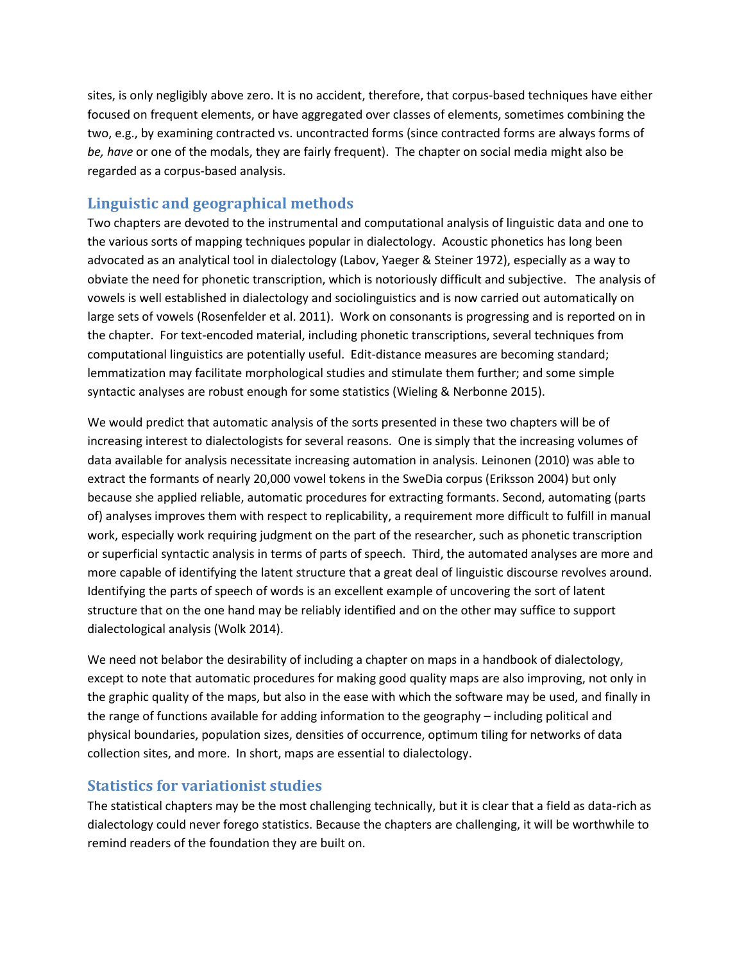sites, is only negligibly above zero. It is no accident, therefore, that corpus-based techniques have either focused on frequent elements, or have aggregated over classes of elements, sometimes combining the two, e.g., by examining contracted vs. uncontracted forms (since contracted forms are always forms of *be, have* or one of the modals, they are fairly frequent). The chapter on social media might also be regarded as a corpus-based analysis.

### **Linguistic and geographical methods**

Two chapters are devoted to the instrumental and computational analysis of linguistic data and one to the various sorts of mapping techniques popular in dialectology. Acoustic phonetics has long been advocated as an analytical tool in dialectology (Labov, Yaeger & Steiner 1972), especially as a way to obviate the need for phonetic transcription, which is notoriously difficult and subjective. The analysis of vowels is well established in dialectology and sociolinguistics and is now carried out automatically on large sets of vowels (Rosenfelder et al. 2011). Work on consonants is progressing and is reported on in the chapter. For text-encoded material, including phonetic transcriptions, several techniques from computational linguistics are potentially useful. Edit-distance measures are becoming standard; lemmatization may facilitate morphological studies and stimulate them further; and some simple syntactic analyses are robust enough for some statistics (Wieling & Nerbonne 2015).

We would predict that automatic analysis of the sorts presented in these two chapters will be of increasing interest to dialectologists for several reasons. One is simply that the increasing volumes of data available for analysis necessitate increasing automation in analysis. Leinonen (2010) was able to extract the formants of nearly 20,000 vowel tokens in the SweDia corpus (Eriksson 2004) but only because she applied reliable, automatic procedures for extracting formants. Second, automating (parts of) analyses improves them with respect to replicability, a requirement more difficult to fulfill in manual work, especially work requiring judgment on the part of the researcher, such as phonetic transcription or superficial syntactic analysis in terms of parts of speech. Third, the automated analyses are more and more capable of identifying the latent structure that a great deal of linguistic discourse revolves around. Identifying the parts of speech of words is an excellent example of uncovering the sort of latent structure that on the one hand may be reliably identified and on the other may suffice to support dialectological analysis (Wolk 2014).

We need not belabor the desirability of including a chapter on maps in a handbook of dialectology, except to note that automatic procedures for making good quality maps are also improving, not only in the graphic quality of the maps, but also in the ease with which the software may be used, and finally in the range of functions available for adding information to the geography – including political and physical boundaries, population sizes, densities of occurrence, optimum tiling for networks of data collection sites, and more. In short, maps are essential to dialectology.

## **Statistics for variationist studies**

The statistical chapters may be the most challenging technically, but it is clear that a field as data-rich as dialectology could never forego statistics. Because the chapters are challenging, it will be worthwhile to remind readers of the foundation they are built on.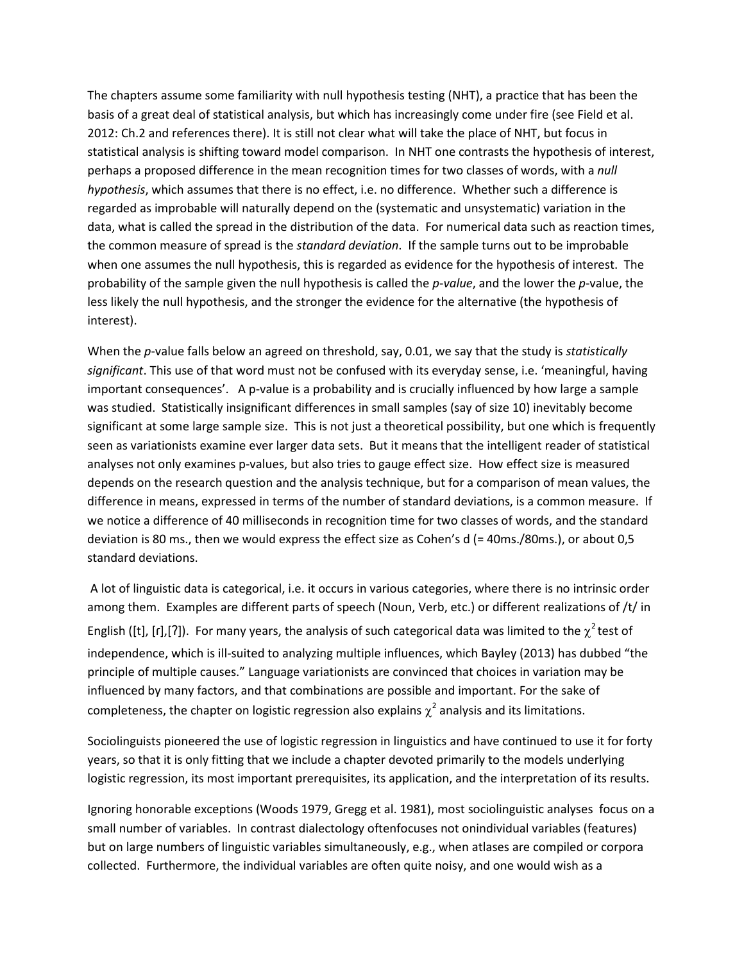The chapters assume some familiarity with null hypothesis testing (NHT), a practice that has been the basis of a great deal of statistical analysis, but which has increasingly come under fire (see Field et al. 2012: Ch.2 and references there). It is still not clear what will take the place of NHT, but focus in statistical analysis is shifting toward model comparison. In NHT one contrasts the hypothesis of interest, perhaps a proposed difference in the mean recognition times for two classes of words, with a *null hypothesis*, which assumes that there is no effect, i.e. no difference. Whether such a difference is regarded as improbable will naturally depend on the (systematic and unsystematic) variation in the data, what is called the spread in the distribution of the data. For numerical data such as reaction times, the common measure of spread is the *standard deviation*. If the sample turns out to be improbable when one assumes the null hypothesis, this is regarded as evidence for the hypothesis of interest. The probability of the sample given the null hypothesis is called the *p*-*value*, and the lower the *p*-value, the less likely the null hypothesis, and the stronger the evidence for the alternative (the hypothesis of interest).

When the *p*-value falls below an agreed on threshold, say, 0.01, we say that the study is *statistically significant*. This use of that word must not be confused with its everyday sense, i.e. 'meaningful, having important consequences'. A p-value is a probability and is crucially influenced by how large a sample was studied. Statistically insignificant differences in small samples (say of size 10) inevitably become significant at some large sample size. This is not just a theoretical possibility, but one which is frequently seen as variationists examine ever larger data sets. But it means that the intelligent reader of statistical analyses not only examines p-values, but also tries to gauge effect size. How effect size is measured depends on the research question and the analysis technique, but for a comparison of mean values, the difference in means, expressed in terms of the number of standard deviations, is a common measure. If we notice a difference of 40 milliseconds in recognition time for two classes of words, and the standard deviation is 80 ms., then we would express the effect size as Cohen's d (= 40ms./80ms.), or about 0,5 standard deviations.

A lot of linguistic data is categorical, i.e. it occurs in various categories, where there is no intrinsic order among them. Examples are different parts of speech (Noun, Verb, etc.) or different realizations of /t/ in English ([t], [r],[7]). For many years, the analysis of such categorical data was limited to the  $\chi^2$  test of independence, which is ill-suited to analyzing multiple influences, which Bayley (2013) has dubbed "the principle of multiple causes." Language variationists are convinced that choices in variation may be influenced by many factors, and that combinations are possible and important. For the sake of completeness, the chapter on logistic regression also explains  $\chi^2$  analysis and its limitations.

Sociolinguists pioneered the use of logistic regression in linguistics and have continued to use it for forty years, so that it is only fitting that we include a chapter devoted primarily to the models underlying logistic regression, its most important prerequisites, its application, and the interpretation of its results.

Ignoring honorable exceptions (Woods 1979, Gregg et al. 1981), most sociolinguistic analyses focus on a small number of variables. In contrast dialectology oftenfocuses not onindividual variables (features) but on large numbers of linguistic variables simultaneously, e.g., when atlases are compiled or corpora collected. Furthermore, the individual variables are often quite noisy, and one would wish as a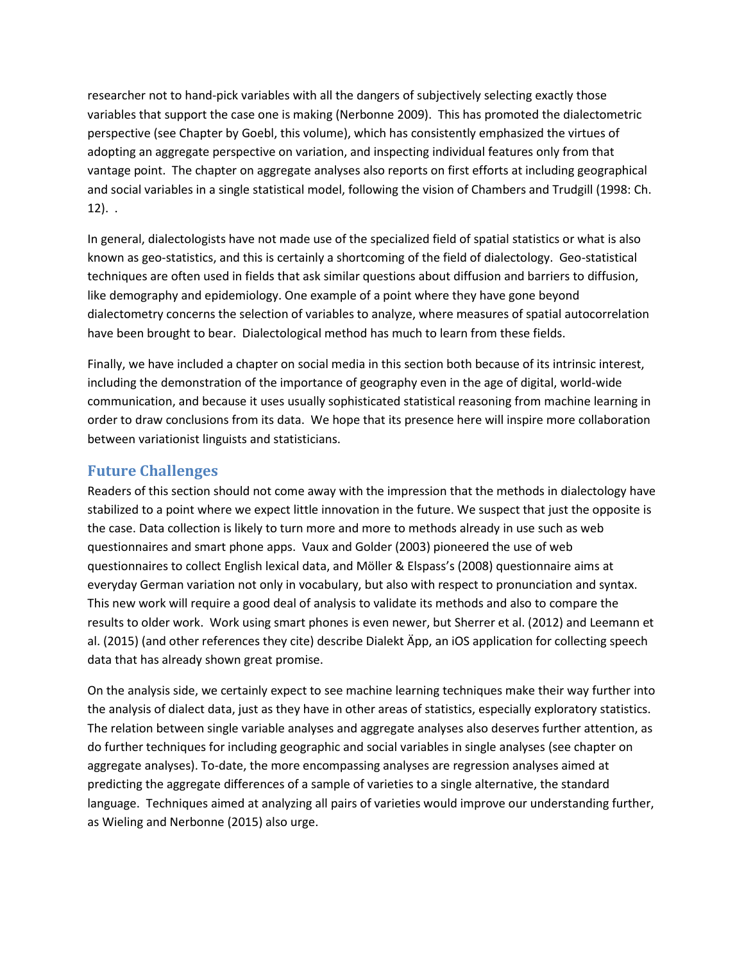researcher not to hand-pick variables with all the dangers of subjectively selecting exactly those variables that support the case one is making (Nerbonne 2009). This has promoted the dialectometric perspective (see Chapter by Goebl, this volume), which has consistently emphasized the virtues of adopting an aggregate perspective on variation, and inspecting individual features only from that vantage point. The chapter on aggregate analyses also reports on first efforts at including geographical and social variables in a single statistical model, following the vision of Chambers and Trudgill (1998: Ch. 12). .

In general, dialectologists have not made use of the specialized field of spatial statistics or what is also known as geo-statistics, and this is certainly a shortcoming of the field of dialectology. Geo-statistical techniques are often used in fields that ask similar questions about diffusion and barriers to diffusion, like demography and epidemiology. One example of a point where they have gone beyond dialectometry concerns the selection of variables to analyze, where measures of spatial autocorrelation have been brought to bear. Dialectological method has much to learn from these fields.

Finally, we have included a chapter on social media in this section both because of its intrinsic interest, including the demonstration of the importance of geography even in the age of digital, world-wide communication, and because it uses usually sophisticated statistical reasoning from machine learning in order to draw conclusions from its data. We hope that its presence here will inspire more collaboration between variationist linguists and statisticians.

#### **Future Challenges**

Readers of this section should not come away with the impression that the methods in dialectology have stabilized to a point where we expect little innovation in the future. We suspect that just the opposite is the case. Data collection is likely to turn more and more to methods already in use such as web questionnaires and smart phone apps. Vaux and Golder (2003) pioneered the use of web questionnaires to collect English lexical data, and Möller & Elspass's (2008) questionnaire aims at everyday German variation not only in vocabulary, but also with respect to pronunciation and syntax. This new work will require a good deal of analysis to validate its methods and also to compare the results to older work. Work using smart phones is even newer, but Sherrer et al. (2012) and Leemann et al. (2015) (and other references they cite) describe Dialekt Äpp, an iOS application for collecting speech data that has already shown great promise.

On the analysis side, we certainly expect to see machine learning techniques make their way further into the analysis of dialect data, just as they have in other areas of statistics, especially exploratory statistics. The relation between single variable analyses and aggregate analyses also deserves further attention, as do further techniques for including geographic and social variables in single analyses (see chapter on aggregate analyses). To-date, the more encompassing analyses are regression analyses aimed at predicting the aggregate differences of a sample of varieties to a single alternative, the standard language. Techniques aimed at analyzing all pairs of varieties would improve our understanding further, as Wieling and Nerbonne (2015) also urge.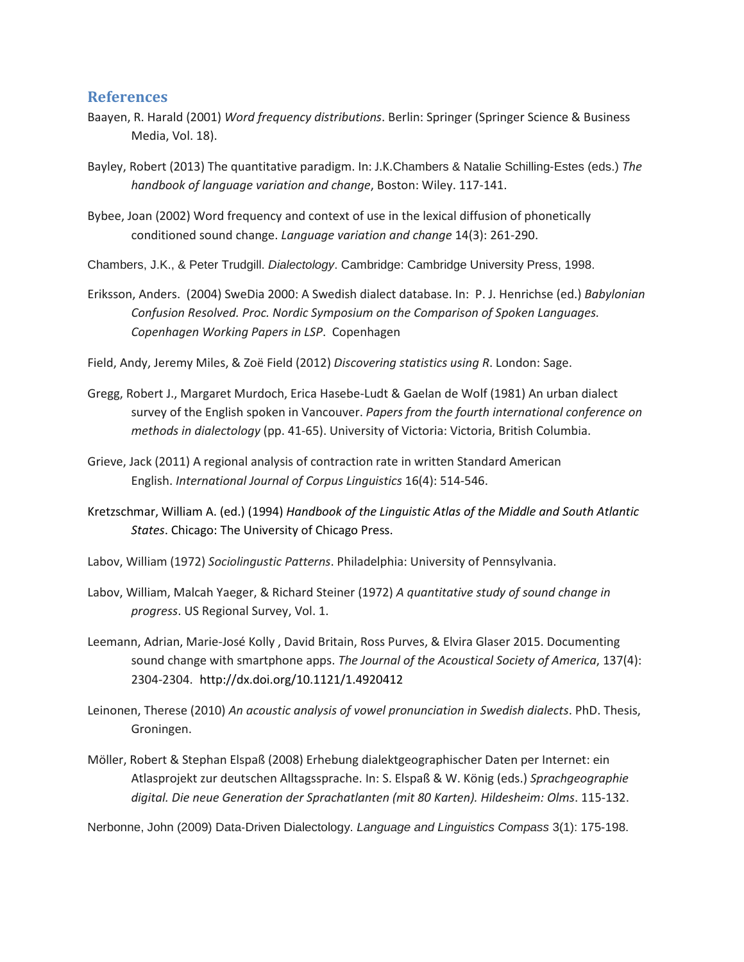#### **References**

- Baayen, R. Harald (2001) *Word frequency distributions*. Berlin: Springer (Springer Science & Business Media, Vol. 18).
- Bayley, Robert (2013) The quantitative paradigm. In: J.K.Chambers & Natalie Schilling-Estes (eds.) *The handbook of language variation and change*, Boston: Wiley. 117-141.
- Bybee, Joan (2002) Word frequency and context of use in the lexical diffusion of phonetically conditioned sound change. *Language variation and change* 14(3): 261-290.
- Chambers, J.K., & Peter Trudgill. *Dialectology*. Cambridge: Cambridge University Press, 1998.
- Eriksson, Anders. (2004) SweDia 2000: A Swedish dialect database. In: P. J. Henrichse (ed.) *Babylonian Confusion Resolved. Proc. Nordic Symposium on the Comparison of Spoken Languages. Copenhagen Working Papers in LSP*. Copenhagen
- Field, Andy, Jeremy Miles, & Zoë Field (2012) *Discovering statistics using R*. London: Sage.
- Gregg, Robert J., Margaret Murdoch, Erica Hasebe-Ludt & Gaelan de Wolf (1981) An urban dialect survey of the English spoken in Vancouver. *Papers from the fourth international conference on methods in dialectology* (pp. 41-65). University of Victoria: Victoria, British Columbia.
- Grieve, Jack (2011) A regional analysis of contraction rate in written Standard American English. *International Journal of Corpus Linguistics* 16(4): 514-546.
- Kretzschmar, William A. (ed.) (1994) *Handbook of the Linguistic Atlas of the Middle and South Atlantic States*. Chicago: The University of Chicago Press.
- Labov, William (1972) *Sociolingustic Patterns*. Philadelphia: University of Pennsylvania.
- Labov, William, Malcah Yaeger, & Richard Steiner (1972) *A quantitative study of sound change in progress*. US Regional Survey, Vol. 1.
- Leemann, Adrian, Marie-José Kolly , David Britain, Ross Purves, & Elvira Glaser 2015. Documenting sound change with smartphone apps. *The Journal of the Acoustical Society of America*, 137(4): 2304-2304. <http://dx.doi.org/10.1121/1.4920412>
- Leinonen, Therese (2010) *An acoustic analysis of vowel pronunciation in Swedish dialects*. PhD. Thesis, Groningen.
- Möller, Robert & Stephan Elspaß (2008) Erhebung dialektgeographischer Daten per Internet: ein Atlasprojekt zur deutschen Alltagssprache. In: S. Elspaß & W. König (eds.) *Sprachgeographie digital. Die neue Generation der Sprachatlanten (mit 80 Karten). Hildesheim: Olms*. 115-132.

Nerbonne, John (2009) Data‐Driven Dialectology. *Language and Linguistics Compass* 3(1): 175-198.